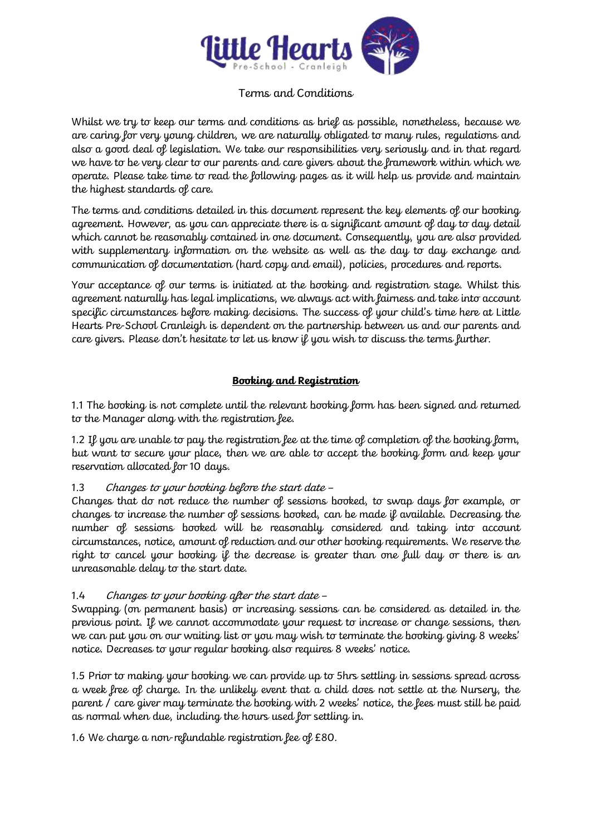

# Terms and Conditions

Whilst we try to keep our terms and conditions as brief as possible, nonetheless, because we are caring for very young children, we are naturally obligated to many rules, regulations and also a good deal of legislation. We take our responsibilities very seriously and in that regard we have to be very clear to our parents and care givers about the framework within which we operate. Please take time to read the following pages as it will help us provide and maintain the highest standards of care.

The terms and conditions detailed in this document represent the key elements of our booking agreement. However, as you can appreciate there is a significant amount of day to day detail which cannot be reasonably contained in one document. Consequently, you are also provided with supplementary information on the website as well as the day to day exchange and communication of documentation (hard copy and email), policies, procedures and reports.

Your acceptance of our terms is initiated at the booking and registration stage. Whilst this agreement naturally has legal implications, we always act with fairness and take into account specific circumstances before making decisions. The success of your child's time here at Little Hearts Pre-School Cranleigh is dependent on the partnership between us and our parents and care givers. Please don't hesitate to let us know if you wish to discuss the terms further.

## **Booking and Registration**

1.1 The booking is not complete until the relevant booking form has been signed and returned to the Manager along with the registration fee.

1.2 If you are unable to pay the registration fee at the time of completion of the booking form, but want to secure your place, then we are able to accept the booking form and keep your reservation allocated for 10 days.

### 1.3 Changes to your booking before the start date –

Changes that do not reduce the number of sessions booked, to swap days for example, or changes to increase the number of sessions booked, can be made if available. Decreasing the number of sessions booked will be reasonably considered and taking into account circumstances, notice, amount of reduction and our other booking requirements. We reserve the right to cancel your booking if the decrease is greater than one full day or there is an unreasonable delay to the start date.

### 1.4 Changes to your booking after the start date –

Swapping (on permanent basis) or increasing sessions can be considered as detailed in the previous point. If we cannot accommodate your request to increase or change sessions, then we can put you on our waiting list or you may wish to terminate the booking giving 8 weeks' notice. Decreases to your regular booking also requires 8 weeks' notice.

1.5 Prior to making your booking we can provide up to 5hrs settling in sessions spread across a week free of charge. In the unlikely event that a child does not settle at the Nursery, the parent / care giver may terminate the booking with 2 weeks' notice, the fees must still be paid as normal when due, including the hours used for settling in.

1.6 We charge a non-refundable registration fee of £80.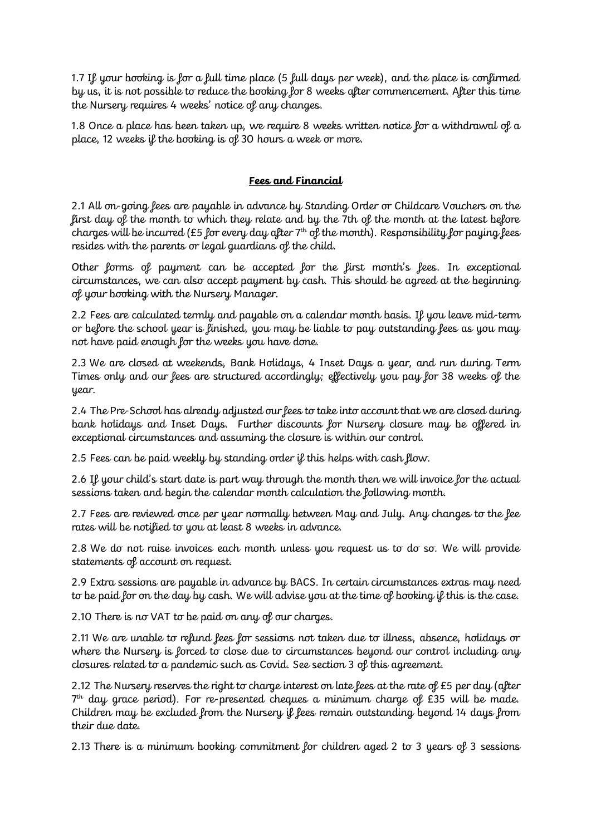1.7 If your booking is for a full time place (5 full days per week), and the place is confirmed by us, it is not possible to reduce the booking for 8 weeks after commencement. After this time the Nursery requires 4 weeks' notice of any changes.

1.8 Once a place has been taken up, we require 8 weeks written notice for a withdrawal of a place, 12 weeks if the booking is of 30 hours a week or more.

### **Fees and Financial**

2.1 All on-going fees are payable in advance by Standing Order or Childcare Vouchers on the first day of the month to which they relate and by the 7th of the month at the latest before charges will be incurred (£5 for every day after  $7<sup>th</sup>$  of the month). Responsibility for paying fees resides with the parents or legal guardians of the child.

Other forms of payment can be accepted for the first month's fees. In exceptional circumstances, we can also accept payment by cash. This should be agreed at the beginning of your booking with the Nursery Manager.

2.2 Fees are calculated termly and payable on a calendar month basis. If you leave mid-term or before the school year is finished, you may be liable to pay outstanding fees as you may not have paid enough for the weeks you have done.

2.3 We are closed at weekends, Bank Holidays, 4 Inset Days a year, and run during Term Times only and our fees are structured accordingly; effectively you pay for 38 weeks of the year.

2.4 The Pre-School has already adjusted our fees to take into account that we are closed during bank holidays and Inset Days. Further discounts for Nursery closure may be offered in exceptional circumstances and assuming the closure is within our control.

2.5 Fees can be paid weekly by standing order if this helps with cash flow.

2.6 If your child's start date is part way through the month then we will invoice for the actual sessions taken and begin the calendar month calculation the following month.

2.7 Fees are reviewed once per year normally between May and July. Any changes to the fee rates will be notified to you at least 8 weeks in advance.

2.8 We do not raise invoices each month unless you request us to do so. We will provide statements of account on request.

2.9 Extra sessions are payable in advance by BACS. In certain circumstances extras may need to be paid for on the day by cash. We will advise you at the time of booking if this is the case.

2.10 There is no VAT to be paid on any of our charges.

2.11 We are unable to refund fees for sessions not taken due to illness, absence, holidays or where the Nursery is forced to close due to circumstances beyond our control including any closures related to a pandemic such as Covid. See section 3 of this agreement.

2.12 The Nursery reserves the right to charge interest on late fees at the rate of £5 per day (after  $7<sup>th</sup>$  day grace period). For re-presented cheques a minimum charge of £35 will be made. Children may be excluded from the Nursery if fees remain outstanding beyond 14 days from their due date.

2.13 There is a minimum booking commitment for children aged 2 to 3 years of 3 sessions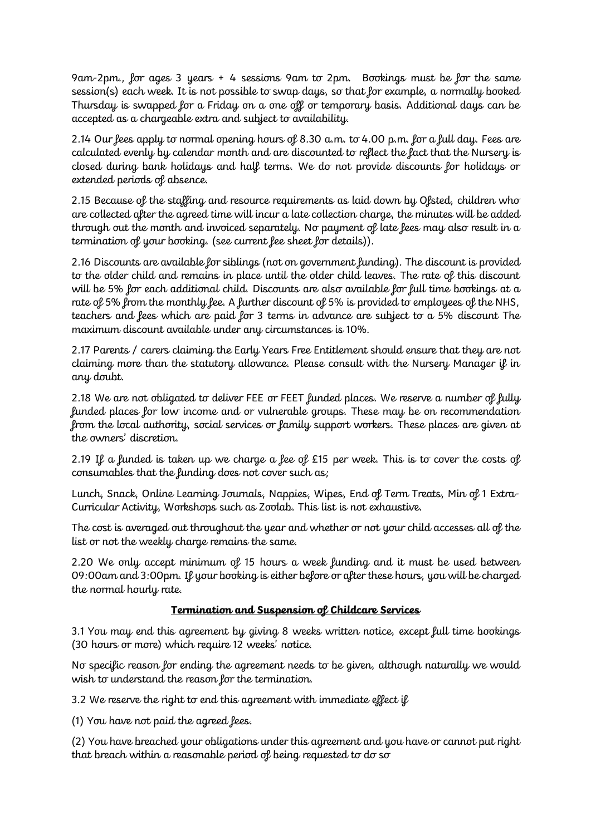9am-2pm., for ages 3 years + 4 sessions 9am to 2pm. Bookings must be for the same session(s) each week. It is not possible to swap days, so that for example, a normally booked Thursday is swapped for a Friday on a one off or temporary basis. Additional days can be accepted as a chargeable extra and subject to availability.

2.14 Our fees apply to normal opening hours of 8.30 a.m. to 4.00 p.m. for a full day. Fees are calculated evenly by calendar month and are discounted to reflect the fact that the Nursery is closed during bank holidays and half terms. We do not provide discounts for holidays or extended periods of absence.

2.15 Because of the staffing and resource requirements as laid down by Ofsted, children who are collected after the agreed time will incur a late collection charge, the minutes will be added through out the month and invoiced separately. No payment of late fees may also result in a termination of your booking. (see current fee sheet for details)).

2.16 Discounts are available for siblings (not on government funding). The discount is provided to the older child and remains in place until the older child leaves. The rate of this discount will be 5% for each additional child. Discounts are also available for full time bookings at a rate of 5% from the monthly fee. A further discount of 5% is provided to employees of the NHS, teachers and fees which are paid for 3 terms in advance are subject to a 5% discount The maximum discount available under any circumstances is 10%.

2.17 Parents / carers claiming the Early Years Free Entitlement should ensure that they are not claiming more than the statutory allowance. Please consult with the Nursery Manager if in any doubt.

2.18 We are not obligated to deliver FEE or FEET funded places. We reserve a number of fully funded places for low income and or vulnerable groups. These may be on recommendation from the local authority, social services or family support workers. These places are given at the owners' discretion.

2.19 If a funded is taken up we charge a fee of £15 per week. This is to cover the costs of consumables that the funding does not cover such as;

Lunch, Snack, Online Learning Journals, Nappies, Wipes, End of Term Treats, Min of 1 Extra-Curricular Activity, Workshops such as Zoolab. This list is not exhaustive.

The cost is averaged out throughout the year and whether or not your child accesses all of the list or not the weekly charge remains the same.

2.20 We only accept minimum of 15 hours a week funding and it must be used between 09:00am and 3:00pm. If your booking is either before or after these hours, you will be charged the normal hourly rate.

### **Termination and Suspension of Childcare Services**

3.1 You may end this agreement by giving 8 weeks written notice, except full time bookings (30 hours or more) which require 12 weeks' notice.

No specific reason for ending the agreement needs to be given, although naturally we would wish to understand the reason for the termination.

3.2 We reserve the right to end this agreement with immediate effect if

(1) You have not paid the agreed fees.

(2) You have breached your obligations under this agreement and you have or cannot put right that breach within a reasonable period of being requested to do so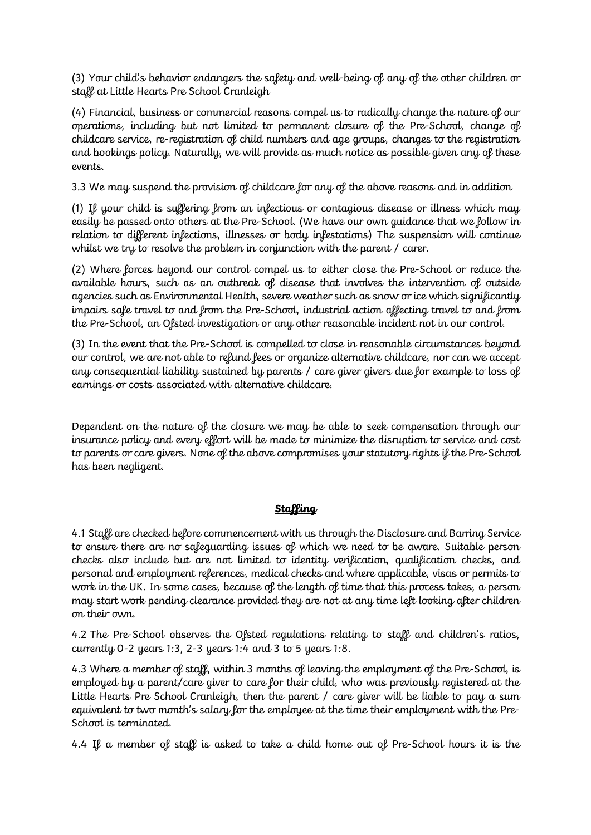(3) Your child's behavior endangers the safety and well-being of any of the other children or staff at Little Hearts Pre School Cranleigh

(4) Financial, business or commercial reasons compel us to radically change the nature of our operations, including but not limited to permanent closure of the Pre-School, change of childcare service, re-registration of child numbers and age groups, changes to the registration and bookings policy. Naturally, we will provide as much notice as possible given any of these events.

3.3 We may suspend the provision of childcare for any of the above reasons and in addition

(1) If your child is suffering from an infectious or contagious disease or illness which may easily be passed onto others at the Pre-School. (We have our own guidance that we follow in relation to different infections, illnesses or body infestations) The suspension will continue whilst we try to resolve the problem in conjunction with the parent / carer.

(2) Where forces beyond our control compel us to either close the Pre-School or reduce the available hours, such as an outbreak of disease that involves the intervention of outside agencies such as Environmental Health, severe weather such as snow or ice which significantly impairs safe travel to and from the Pre-School, industrial action affecting travel to and from the Pre-School, an Ofsted investigation or any other reasonable incident not in our control.

(3) In the event that the Pre-School is compelled to close in reasonable circumstances beyond our control, we are not able to refund fees or organize alternative childcare, nor can we accept any consequential liability sustained by parents / care giver givers due for example to loss of earnings or costs associated with alternative childcare.

Dependent on the nature of the closure we may be able to seek compensation through our insurance policy and every effort will be made to minimize the disruption to service and cost to parents or care givers. None of the above compromises your statutory rights if the Pre-School has been negligent.

#### **Staffing**

4.1 Staff are checked before commencement with us through the Disclosure and Barring Service to ensure there are no safeguarding issues of which we need to be aware. Suitable person checks also include but are not limited to identity verification, qualification checks, and personal and employment references, medical checks and where applicable, visas or permits to work in the UK. In some cases, because of the length of time that this process takes, a person may start work pending clearance provided they are not at any time left looking after children on their own.

4.2 The Pre-School observes the Ofsted regulations relating to staff and children's ratios, currently 0-2 years 1:3, 2-3 years 1:4 and 3 to 5 years 1:8.

4.3 Where a member of staff, within 3 months of leaving the employment of the Pre-School, is employed by a parent/care giver to care for their child, who was previously registered at the Little Hearts Pre School Cranleigh, then the parent / care giver will be liable to pay a sum equivalent to two month's salary for the employee at the time their employment with the Pre-School is terminated.

4.4 If a member of staff is asked to take a child home out of Pre-School hours it is the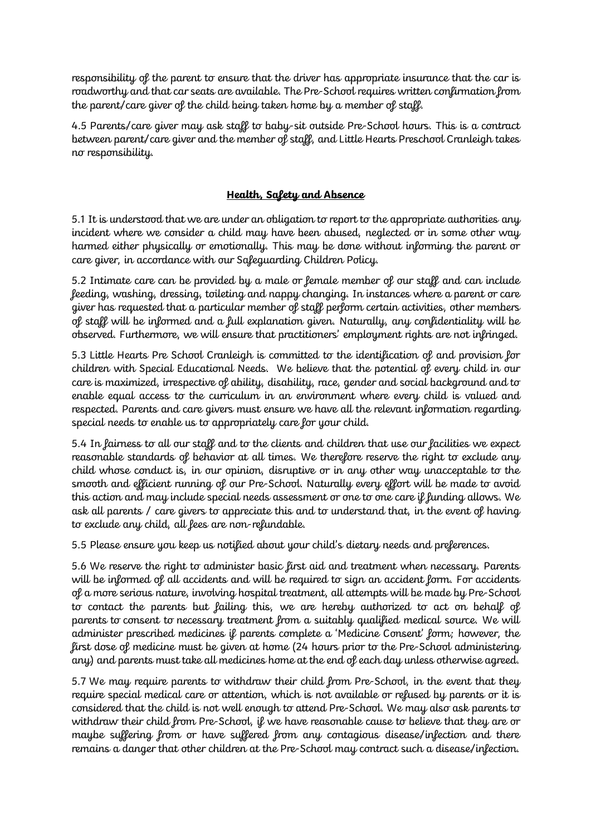responsibility of the parent to ensure that the driver has appropriate insurance that the car is roadworthy and that car seats are available. The Pre-School requires written confirmation from the parent/care giver of the child being taken home by a member of staff.

4.5 Parents/care giver may ask staff to baby-sit outside Pre-School hours. This is a contract between parent/care giver and the member of staff, and Little Hearts Preschool Cranleigh takes no responsibility.

### **Health, Safety and Absence**

5.1 It is understood that we are under an obligation to report to the appropriate authorities any incident where we consider a child may have been abused, neglected or in some other way harmed either physically or emotionally. This may be done without informing the parent or care giver, in accordance with our Safeguarding Children Policy.

5.2 Intimate care can be provided by a male or female member of our staff and can include feeding, washing, dressing, toileting and nappy changing. In instances where a parent or care giver has requested that a particular member of staff perform certain activities, other members of staff will be informed and a full explanation given. Naturally, any confidentiality will be observed. Furthermore, we will ensure that practitioners' employment rights are not infringed.

5.3 Little Hearts Pre School Cranleigh is committed to the identification of and provision for children with Special Educational Needs. We believe that the potential of every child in our care is maximized, irrespective of ability, disability, race, gender and social background and to enable equal access to the curriculum in an environment where every child is valued and respected. Parents and care givers must ensure we have all the relevant information regarding special needs to enable us to appropriately care for your child.

5.4 In fairness to all our staff and to the clients and children that use our facilities we expect reasonable standards of behavior at all times. We therefore reserve the right to exclude any child whose conduct is, in our opinion, disruptive or in any other way unacceptable to the smooth and efficient running of our Pre-School. Naturally every effort will be made to avoid this action and may include special needs assessment or one to one care if funding allows. We ask all parents / care givers to appreciate this and to understand that, in the event of having to exclude any child, all fees are non-refundable.

5.5 Please ensure you keep us notified about your child's dietary needs and preferences.

5.6 We reserve the right to administer basic first aid and treatment when necessary. Parents will be informed of all accidents and will be required to sign an accident form. For accidents of a more serious nature, involving hospital treatment, all attempts will be made by Pre-School to contact the parents but failing this, we are hereby authorized to act on behalf of parents to consent to necessary treatment from a suitably qualified medical source. We will administer prescribed medicines if parents complete a 'Medicine Consent' form; however, the first dose of medicine must be given at home (24 hours prior to the Pre-School administering any) and parents must take all medicines home at the end of each day unless otherwise agreed.

5.7 We may require parents to withdraw their child from Pre-School, in the event that they require special medical care or attention, which is not available or refused by parents or it is considered that the child is not well enough to attend Pre-School. We may also ask parents to withdraw their child from Pre-School, if we have reasonable cause to believe that they are or maybe suffering from or have suffered from any contagious disease/infection and there remains a danger that other children at the Pre-School may contract such a disease/infection.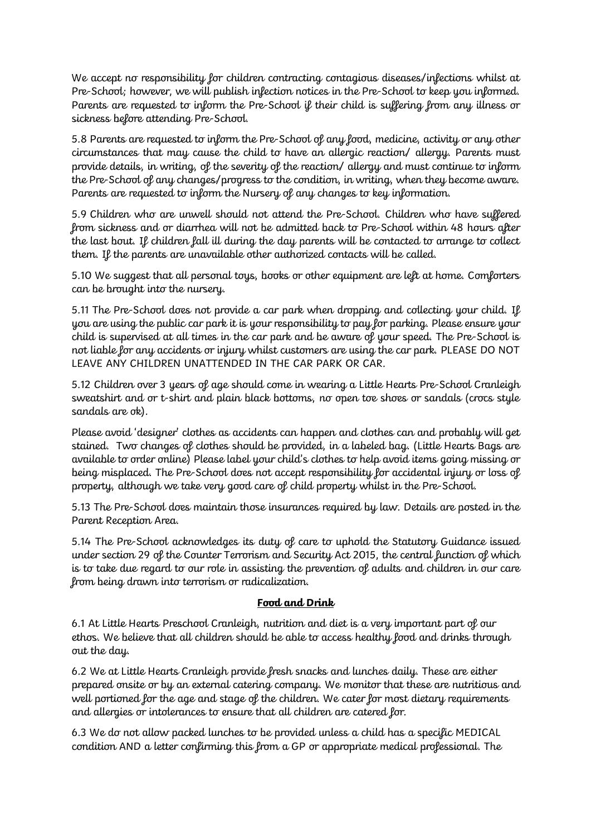We accept no responsibility for children contracting contagious diseases/infections whilst at Pre-School; however, we will publish infection notices in the Pre-School to keep you informed. Parents are requested to inform the Pre-School if their child is suffering from any illness or sickness before attending Pre-School.

5.8 Parents are requested to inform the Pre-School of any food, medicine, activity or any other circumstances that may cause the child to have an allergic reaction/ allergy. Parents must provide details, in writing, of the severity of the reaction/ allergy and must continue to inform the Pre-School of any changes/progress to the condition, in writing, when they become aware. Parents are requested to inform the Nursery of any changes to key information.

5.9 Children who are unwell should not attend the Pre-School. Children who have suffered from sickness and or diarrhea will not be admitted back to Pre-School within 48 hours after the last bout. If children fall ill during the day parents will be contacted to arrange to collect them. If the parents are unavailable other authorized contacts will be called.

5.10 We suggest that all personal toys, books or other equipment are left at home. Comforters can be brought into the nursery.

5.11 The Pre-School does not provide a car park when dropping and collecting your child. If you are using the public car park it is your responsibility to pay for parking. Please ensure your child is supervised at all times in the car park and be aware of your speed. The Pre-School is not liable for any accidents or injury whilst customers are using the car park. PLEASE DO NOT LEAVE ANY CHILDREN UNATTENDED IN THE CAR PARK OR CAR.

5.12 Children over 3 years of age should come in wearing a Little Hearts Pre-School Cranleigh sweatshirt and or t-shirt and plain black bottoms, no open toe shoes or sandals (crocs style sandals are ok).

Please avoid 'designer' clothes as accidents can happen and clothes can and probably will get stained. Two changes of clothes should be provided, in a labeled bag. (Little Hearts Bags are available to order online) Please label your child's clothes to help avoid items going missing or being misplaced. The Pre-School does not accept responsibility for accidental injury or loss of property, although we take very good care of child property whilst in the Pre-School.

5.13 The Pre-School does maintain those insurances required by law. Details are posted in the Parent Reception Area.

5.14 The Pre-School acknowledges its duty of care to uphold the Statutory Guidance issued under section 29 of the Counter Terrorism and Security Act 2015, the central function of which is to take due regard to our role in assisting the prevention of adults and children in our care from being drawn into terrorism or radicalization.

#### **Food and Drink**

6.1 At Little Hearts Preschool Cranleigh, nutrition and diet is a very important part of our ethos. We believe that all children should be able to access healthy food and drinks through out the day.

6.2 We at Little Hearts Cranleigh provide fresh snacks and lunches daily. These are either prepared onsite or by an external catering company. We monitor that these are nutritious and well portioned for the age and stage of the children. We cater for most dietary requirements and allergies or intolerances to ensure that all children are catered for.

6.3 We do not allow packed lunches to be provided unless a child has a specific MEDICAL condition AND a letter confirming this from a GP or appropriate medical professional. The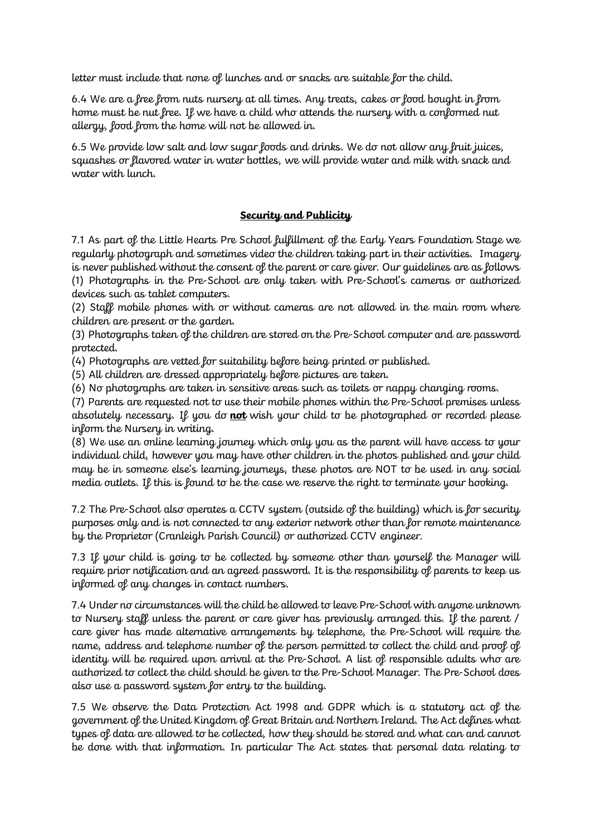letter must include that none of lunches and or snacks are suitable for the child.

6.4 We are a free from nuts nursery at all times. Any treats, cakes or food bought in from home must be nut free. If we have a child who attends the nursery with a conformed nut allergy, food from the home will not be allowed in.

6.5 We provide low salt and low sugar foods and drinks. We do not allow any fruit juices, squashes or flavored water in water bottles, we will provide water and milk with snack and water with lunch.

#### **Security and Publicity**

7.1 As part of the Little Hearts Pre School fulfillment of the Early Years Foundation Stage we regularly photograph and sometimes video the children taking part in their activities. Imagery is never published without the consent of the parent or care giver. Our guidelines are as follows (1) Photographs in the Pre-School are only taken with Pre-School's cameras or authorized devices such as tablet computers.

(2) Staff mobile phones with or without cameras are not allowed in the main room where children are present or the garden.

(3) Photographs taken of the children are stored on the Pre-School computer and are password protected.

(4) Photographs are vetted for suitability before being printed or published.

(5) All children are dressed appropriately before pictures are taken.

(6) No photographs are taken in sensitive areas such as toilets or nappy changing rooms.

(7) Parents are requested not to use their mobile phones within the Pre-School premises unless absolutely necessary. If you do **not** wish your child to be photographed or recorded please inform the Nursery in writing.

(8) We use an online learning journey which only you as the parent will have access to your individual child, however you may have other children in the photos published and your child may be in someone else's learning journeys, these photos are NOT to be used in any social media outlets. If this is found to be the case we reserve the right to terminate your booking.

7.2 The Pre-School also operates a CCTV system (outside of the building) which is for security purposes only and is not connected to any exterior network other than for remote maintenance by the Proprietor (Cranleigh Parish Council) or authorized CCTV engineer.

7.3 If your child is going to be collected by someone other than yourself the Manager will require prior notification and an agreed password. It is the responsibility of parents to keep us informed of any changes in contact numbers.

7.4 Under no circumstances will the child be allowed to leave Pre-School with anyone unknown to Nursery staff unless the parent or care giver has previously arranged this. If the parent / care giver has made alternative arrangements by telephone, the Pre-School will require the name, address and telephone number of the person permitted to collect the child and proof of identity will be required upon arrival at the Pre-School. A list of responsible adults who are authorized to collect the child should be given to the Pre-School Manager. The Pre-School does also use a password system for entry to the building.

7.5 We observe the Data Protection Act 1998 and GDPR which is a statutory act of the government of the United Kingdom of Great Britain and Northern Ireland. The Act defines what types of data are allowed to be collected, how they should be stored and what can and cannot be done with that information. In particular The Act states that personal data relating to